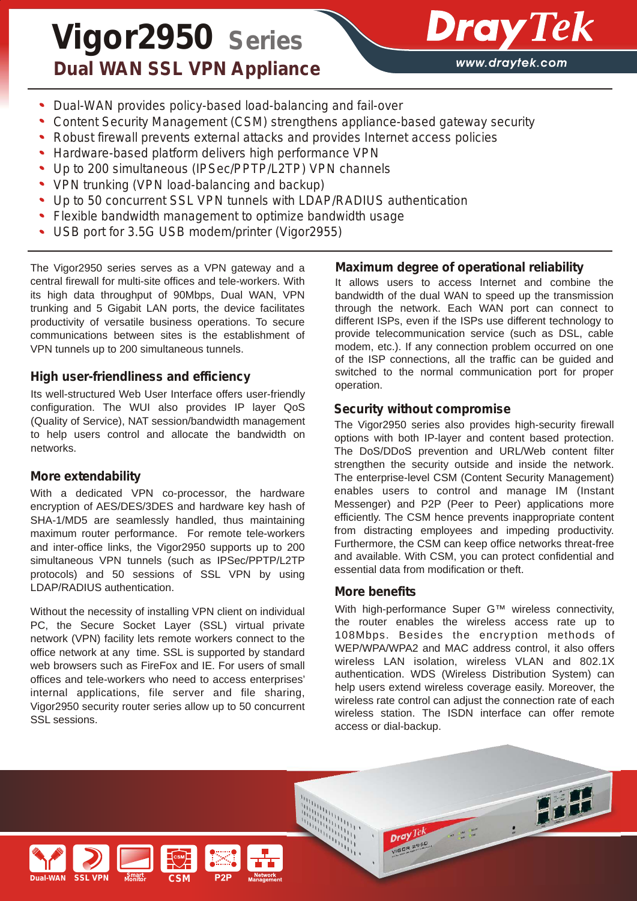# *Vigor2950 Series Dual WAN SSL VPN Appliance*



- *Dual-WAN provides policy-based load-balancing and fail-over*
- *Content Security Management (CSM) strengthens appliance-based gateway security*
- *Robust firewall prevents external attacks and provides Internet access policies*
- *Hardware-based platform delivers high performance VPN*
- *Up to 200 simultaneous (IPSec/PPTP/L2TP) VPN channels*
- *VPN trunking (VPN load-balancing and backup)*
- *Up to 50 concurrent SSL VPN tunnels with LDAP/RADIUS authentication*
- *Flexible bandwidth management to optimize bandwidth usage*
- *USB port for 3.5G USB modem/printer (Vigor2955)*

The Vigor2950 series serves as a VPN gateway and a central firewall for multi-site offices and tele-workers. With its high data throughput of 90Mbps, Dual WAN, VPN trunking and 5 Gigabit LAN ports, the device facilitates productivity of versatile business operations. To secure communications between sites is the establishment of VPN tunnels up to 200 simultaneous tunnels.

## *High user-friendliness and efficiency*

Its well-structured Web User Interface offers user-friendly configuration. The WUI also provides IP layer QoS (Quality of Service), NAT session/bandwidth management to help users control and allocate the bandwidth on networks.

## *More extendability*

With a dedicated VPN co-processor, the hardware encryption of AES/DES/3DES and hardware key hash of SHA-1/MD5 are seamlessly handled, thus maintaining maximum router performance. For remote tele-workers and inter-office links, the Vigor2950 supports up to 200 simultaneous VPN tunnels (such as IPSec/PPTP/L2TP protocols) and 50 sessions of SSL VPN by using LDAP/RADIUS authentication.

Without the necessity of installing VPN client on individual PC, the Secure Socket Layer (SSL) virtual private network (VPN) facility lets remote workers connect to the office network at any time. SSL is supported by standard web browsers such as FireFox and IE. For users of small offices and tele-workers who need to access enterprises' internal applications, file server and file sharing, Vigor2950 security router series allow up to 50 concurrent SSL sessions.

## *Maximum degree of operational reliability*

It allows users to access Internet and combine the bandwidth of the dual WAN to speed up the transmission through the network. Each WAN port can connect to different ISPs, even if the ISPs use different technology to provide telecommunication service (such as DSL, cable modem, etc.). If any connection problem occurred on one of the ISP connections, all the traffic can be guided and switched to the normal communication port for proper operation.

## *Security without compromise*

The Vigor2950 series also provides high-security firewall options with both IP-layer and content based protection. The DoS/DDoS prevention and URL/Web content filter strengthen the security outside and inside the network. The enterprise-level CSM (Content Security Management) enables users to control and manage IM (Instant Messenger) and P2P (Peer to Peer) applications more efficiently. The CSM hence prevents inappropriate content from distracting employees and impeding productivity. Furthermore, the CSM can keep office networks threat-free and available. With CSM, you can protect confidential and essential data from modification or theft.

## *More benefits*

With high-performance Super G™ wireless connectivity, the router enables the wireless access rate up to 108Mbps. Besides the encryption methods of WEP/WPA/WPA2 and MAC address control, it also offers wireless LAN isolation, wireless VLAN and 802.1X authentication. WDS (Wireless Distribution System) can help users extend wireless coverage easily. Moreover, the wireless rate control can adjust the connection rate of each wireless station. The ISDN interface can offer remote access or dial-backup.

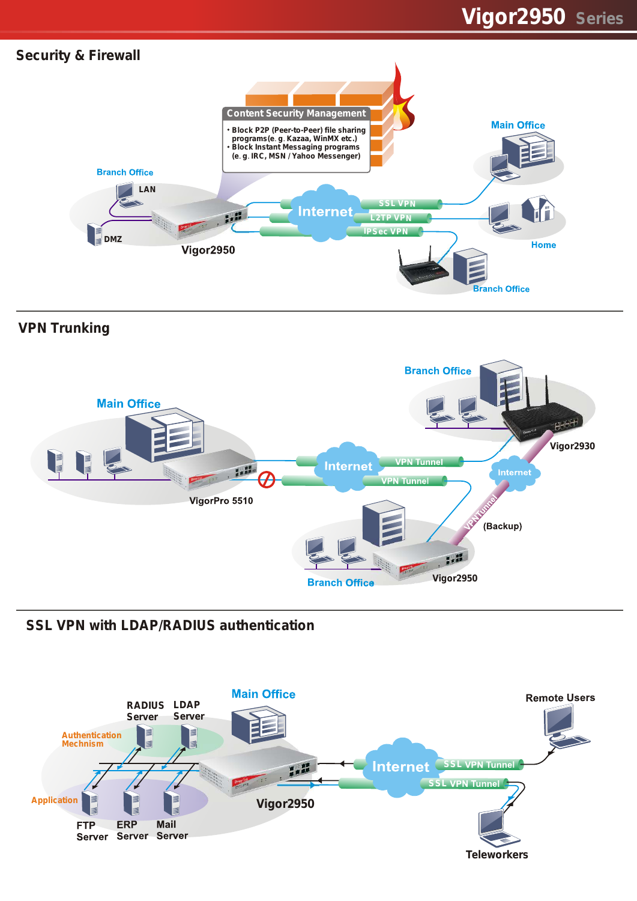

## *VPN Trunking*



*SSL VPN with LDAP/RADIUS authentication*

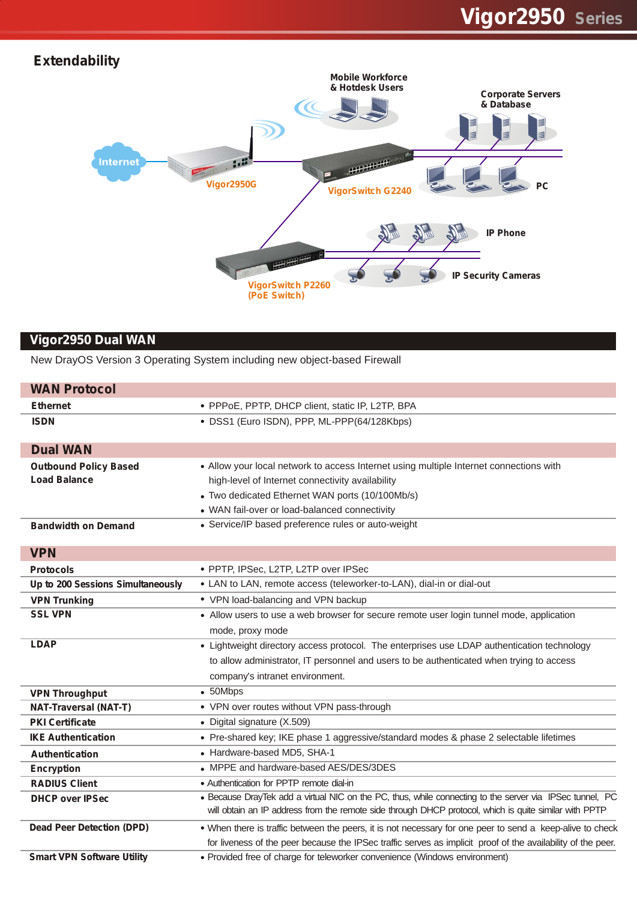## *Vigor2950 Series*

## *Extendability*



## **Vigor2950 Dual WAN**

New DrayOS Version 3 Operating System including new object-based Firewall

| <b>WAN Protocol</b>               |                                                                                                              |  |
|-----------------------------------|--------------------------------------------------------------------------------------------------------------|--|
| <b>Ethernet</b>                   | • PPPoE, PPTP, DHCP client, static IP, L2TP, BPA                                                             |  |
| <b>ISDN</b>                       | · DSS1 (Euro ISDN), PPP, ML-PPP(64/128Kbps)                                                                  |  |
| <b>Dual WAN</b>                   |                                                                                                              |  |
| <b>Outbound Policy Based</b>      | • Allow your local network to access Internet using multiple Internet connections with                       |  |
| <b>Load Balance</b>               | high-level of Internet connectivity availability                                                             |  |
|                                   | • Two dedicated Ethernet WAN ports (10/100Mb/s)                                                              |  |
|                                   | • WAN fail-over or load-balanced connectivity                                                                |  |
| <b>Bandwidth on Demand</b>        | • Service/IP based preference rules or auto-weight                                                           |  |
|                                   |                                                                                                              |  |
| <b>VPN</b>                        |                                                                                                              |  |
| <b>Protocols</b>                  | · PPTP, IPSec, L2TP, L2TP over IPSec                                                                         |  |
| Up to 200 Sessions Simultaneously | • LAN to LAN, remote access (teleworker-to-LAN), dial-in or dial-out                                         |  |
| <b>VPN Trunking</b>               | • VPN load-balancing and VPN backup                                                                          |  |
| <b>SSL VPN</b>                    | • Allow users to use a web browser for secure remote user login tunnel mode, application                     |  |
|                                   | mode, proxy mode                                                                                             |  |
| <b>LDAP</b>                       | • Lightweight directory access protocol. The enterprises use LDAP authentication technology                  |  |
|                                   | to allow administrator, IT personnel and users to be authenticated when trying to access                     |  |
|                                   | company's intranet environment.                                                                              |  |
| <b>VPN Throughput</b>             | $\bullet$ 50Mbps                                                                                             |  |
| <b>NAT-Traversal (NAT-T)</b>      | • VPN over routes without VPN pass-through                                                                   |  |
| <b>PKI Certificate</b>            | • Digital signature (X.509)                                                                                  |  |
| <b>IKE Authentication</b>         | • Pre-shared key; IKE phase 1 aggressive/standard modes & phase 2 selectable lifetimes                       |  |
| <b>Authentication</b>             | • Hardware-based MD5, SHA-1                                                                                  |  |
| <b>Encryption</b>                 | • MPPE and hardware-based AES/DES/3DES                                                                       |  |
| <b>RADIUS Client</b>              | • Authentication for PPTP remote dial-in                                                                     |  |
| <b>DHCP over IPSec</b>            | . Because DrayTek add a virtual NIC on the PC, thus, while connecting to the server via IPSec tunnel, PC     |  |
|                                   | will obtain an IP address from the remote side through DHCP protocol, which is quite similar with PPTP       |  |
| <b>Dead Peer Detection (DPD)</b>  | . When there is traffic between the peers, it is not necessary for one peer to send a keep-alive to check    |  |
|                                   | for liveness of the peer because the IPSec traffic serves as implicit proof of the availability of the peer. |  |
| <b>Smart VPN Software Utility</b> | • Provided free of charge for teleworker convenience (Windows environment)                                   |  |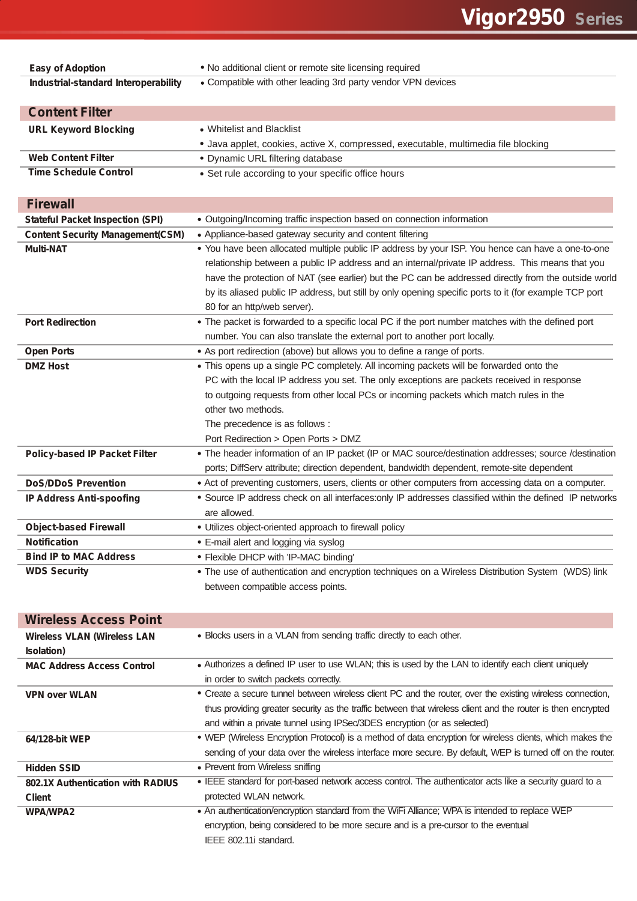| <b>Easy of Adoption</b>                                   | . No additional client or remote site licensing required                                                     |  |  |
|-----------------------------------------------------------|--------------------------------------------------------------------------------------------------------------|--|--|
| Industrial-standard Interoperability                      | • Compatible with other leading 3rd party vendor VPN devices                                                 |  |  |
|                                                           |                                                                                                              |  |  |
| <b>Content Filter</b>                                     |                                                                                                              |  |  |
| <b>URL Keyword Blocking</b>                               | • Whitelist and Blacklist                                                                                    |  |  |
|                                                           | • Java applet, cookies, active X, compressed, executable, multimedia file blocking                           |  |  |
| <b>Web Content Filter</b><br><b>Time Schedule Control</b> | • Dynamic URL filtering database                                                                             |  |  |
|                                                           | • Set rule according to your specific office hours                                                           |  |  |
| <b>Firewall</b>                                           |                                                                                                              |  |  |
| <b>Stateful Packet Inspection (SPI)</b>                   | • Outgoing/Incoming traffic inspection based on connection information                                       |  |  |
| <b>Content Security Management(CSM)</b>                   | • Appliance-based gateway security and content filtering                                                     |  |  |
| <b>Multi-NAT</b>                                          | . You have been allocated multiple public IP address by your ISP. You hence can have a one-to-one            |  |  |
|                                                           | relationship between a public IP address and an internal/private IP address. This means that you             |  |  |
|                                                           | have the protection of NAT (see earlier) but the PC can be addressed directly from the outside world         |  |  |
|                                                           | by its aliased public IP address, but still by only opening specific ports to it (for example TCP port       |  |  |
|                                                           | 80 for an http/web server).                                                                                  |  |  |
| <b>Port Redirection</b>                                   | • The packet is forwarded to a specific local PC if the port number matches with the defined port            |  |  |
|                                                           | number. You can also translate the external port to another port locally.                                    |  |  |
| <b>Open Ports</b>                                         | • As port redirection (above) but allows you to define a range of ports.                                     |  |  |
| <b>DMZ Host</b>                                           | • This opens up a single PC completely. All incoming packets will be forwarded onto the                      |  |  |
|                                                           | PC with the local IP address you set. The only exceptions are packets received in response                   |  |  |
|                                                           | to outgoing requests from other local PCs or incoming packets which match rules in the                       |  |  |
|                                                           | other two methods.                                                                                           |  |  |
|                                                           | The precedence is as follows :                                                                               |  |  |
|                                                           | Port Redirection > Open Ports > DMZ                                                                          |  |  |
| <b>Policy-based IP Packet Filter</b>                      | • The header information of an IP packet (IP or MAC source/destination addresses; source /destination        |  |  |
|                                                           | ports; DiffServ attribute; direction dependent, bandwidth dependent, remote-site dependent                   |  |  |
| <b>DoS/DDoS Prevention</b>                                | • Act of preventing customers, users, clients or other computers from accessing data on a computer.          |  |  |
| <b>IP Address Anti-spoofing</b>                           | · Source IP address check on all interfaces:only IP addresses classified within the defined IP networks      |  |  |
|                                                           | are allowed.                                                                                                 |  |  |
| <b>Object-based Firewall</b>                              | · Utilizes object-oriented approach to firewall policy                                                       |  |  |
| <b>Notification</b>                                       | • E-mail alert and logging via syslog                                                                        |  |  |
| <b>Bind IP to MAC Address</b>                             | • Flexible DHCP with 'IP-MAC binding'                                                                        |  |  |
| <b>WDS Security</b>                                       | . The use of authentication and encryption techniques on a Wireless Distribution System (WDS) link           |  |  |
|                                                           | between compatible access points.                                                                            |  |  |
|                                                           |                                                                                                              |  |  |
| <b>Wireless Access Point</b>                              |                                                                                                              |  |  |
| <b>Wireless VLAN (Wireless LAN</b>                        | • Blocks users in a VLAN from sending traffic directly to each other.                                        |  |  |
| <b>Isolation</b> )<br><b>MAC Address Access Control</b>   | • Authorizes a defined IP user to use WLAN; this is used by the LAN to identify each client uniquely         |  |  |
|                                                           | in order to switch packets correctly.                                                                        |  |  |
| <b>VPN over WLAN</b>                                      | • Create a secure tunnel between wireless client PC and the router, over the existing wireless connection,   |  |  |
|                                                           | thus providing greater security as the traffic between that wireless client and the router is then encrypted |  |  |
|                                                           | and within a private tunnel using IPSec/3DES encryption (or as selected)                                     |  |  |
| 64/128-bit WEP                                            | . WEP (Wireless Encryption Protocol) is a method of data encryption for wireless clients, which makes the    |  |  |
|                                                           | sending of your data over the wireless interface more secure. By default, WEP is turned off on the router.   |  |  |
| <b>Hidden SSID</b>                                        | • Prevent from Wireless sniffing                                                                             |  |  |
| 802.1X Authentication with RADIUS                         | . IEEE standard for port-based network access control. The authenticator acts like a security guard to a     |  |  |
| <b>Client</b>                                             | protected WLAN network.                                                                                      |  |  |
| <b>WPA/WPA2</b>                                           | . An authentication/encryption standard from the WiFi Alliance; WPA is intended to replace WEP               |  |  |
|                                                           | encryption, being considered to be more secure and is a pre-cursor to the eventual                           |  |  |
|                                                           | IEEE 802.11i standard.                                                                                       |  |  |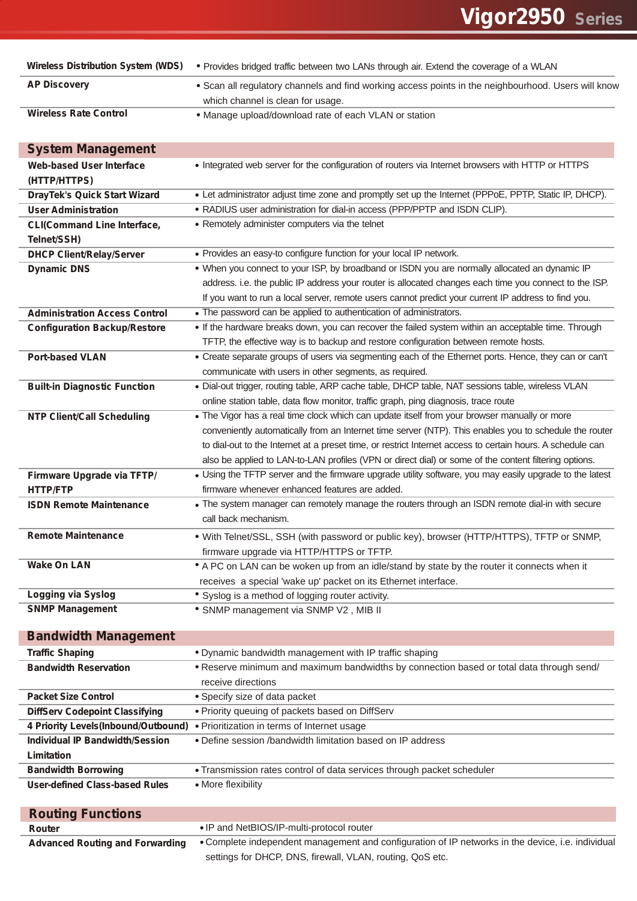| <b>Wireless Distribution System (WDS)</b>         | . Provides bridged traffic between two LANs through air. Extend the coverage of a WLAN                                                   |  |  |
|---------------------------------------------------|------------------------------------------------------------------------------------------------------------------------------------------|--|--|
| <b>AP Discovery</b>                               | . Scan all regulatory channels and find working access points in the neighbourhood. Users will know<br>which channel is clean for usage. |  |  |
| <b>Wireless Rate Control</b>                      | . Manage upload/download rate of each VLAN or station                                                                                    |  |  |
| <b>System Management</b>                          |                                                                                                                                          |  |  |
| <b>Web-based User Interface</b>                   | • Integrated web server for the configuration of routers via Internet browsers with HTTP or HTTPS                                        |  |  |
| (HTTP/HTTPS)                                      |                                                                                                                                          |  |  |
| <b>DrayTek's Quick Start Wizard</b>               | • Let administrator adjust time zone and promptly set up the Internet (PPPoE, PPTP, Static IP, DHCP).                                    |  |  |
| <b>User Administration</b>                        | • RADIUS user administration for dial-in access (PPP/PPTP and ISDN CLIP).                                                                |  |  |
| <b>CLI(Command Line Interface,</b><br>Telnet/SSH) | • Remotely administer computers via the telnet                                                                                           |  |  |
| <b>DHCP Client/Relay/Server</b>                   | • Provides an easy-to configure function for your local IP network.                                                                      |  |  |
| <b>Dynamic DNS</b>                                | . When you connect to your ISP, by broadband or ISDN you are normally allocated an dynamic IP                                            |  |  |
|                                                   | address. i.e. the public IP address your router is allocated changes each time you connect to the ISP.                                   |  |  |
|                                                   | If you want to run a local server, remote users cannot predict your current IP address to find you.                                      |  |  |
| <b>Administration Access Control</b>              | • The password can be applied to authentication of administrators.                                                                       |  |  |
| <b>Configuration Backup/Restore</b>               | • If the hardware breaks down, you can recover the failed system within an acceptable time. Through                                      |  |  |
|                                                   | TFTP, the effective way is to backup and restore configuration between remote hosts.                                                     |  |  |
| <b>Port-based VLAN</b>                            | • Create separate groups of users via segmenting each of the Ethernet ports. Hence, they can or can't                                    |  |  |
|                                                   | communicate with users in other segments, as required.                                                                                   |  |  |
| <b>Built-in Diagnostic Function</b>               | . Dial-out trigger, routing table, ARP cache table, DHCP table, NAT sessions table, wireless VLAN                                        |  |  |
|                                                   | online station table, data flow monitor, traffic graph, ping diagnosis, trace route                                                      |  |  |
| <b>NTP Client/Call Scheduling</b>                 | . The Vigor has a real time clock which can update itself from your browser manually or more                                             |  |  |
|                                                   | conveniently automatically from an Internet time server (NTP). This enables you to schedule the router                                   |  |  |
|                                                   | to dial-out to the Internet at a preset time, or restrict Internet access to certain hours. A schedule can                               |  |  |
|                                                   | also be applied to LAN-to-LAN profiles (VPN or direct dial) or some of the content filtering options.                                    |  |  |
| Firmware Upgrade via TFTP/                        | • Using the TFTP server and the firmware upgrade utility software, you may easily upgrade to the latest                                  |  |  |
| <b>HTTP/FTP</b>                                   | firmware whenever enhanced features are added.                                                                                           |  |  |
| <b>ISDN Remote Maintenance</b>                    | . The system manager can remotely manage the routers through an ISDN remote dial-in with secure                                          |  |  |
|                                                   | call back mechanism.                                                                                                                     |  |  |
| <b>Remote Maintenance</b>                         | . With Telnet/SSL, SSH (with password or public key), browser (HTTP/HTTPS), TFTP or SNMP,                                                |  |  |
|                                                   | firmware upgrade via HTTP/HTTPS or TFTP.                                                                                                 |  |  |
| <b>Wake On LAN</b>                                | • A PC on LAN can be woken up from an idle/stand by state by the router it connects when it                                              |  |  |
|                                                   | receives a special 'wake up' packet on its Ethernet interface.                                                                           |  |  |
| <b>Logging via Syslog</b>                         | • Syslog is a method of logging router activity.                                                                                         |  |  |
| <b>SNMP Management</b>                            | * SNMP management via SNMP V2, MIB II                                                                                                    |  |  |
|                                                   |                                                                                                                                          |  |  |
| <b>Bandwidth Management</b>                       |                                                                                                                                          |  |  |
| <b>Traffic Shaping</b>                            | . Dynamic bandwidth management with IP traffic shaping                                                                                   |  |  |
| <b>Bandwidth Reservation</b>                      | • Reserve minimum and maximum bandwidths by connection based or total data through send/                                                 |  |  |
|                                                   | receive directions                                                                                                                       |  |  |
| <b>Packet Size Control</b>                        | • Specify size of data packet                                                                                                            |  |  |
| <b>DiffServ Codepoint Classifying</b>             | . Priority queuing of packets based on DiffServ                                                                                          |  |  |
| 4 Priority Levels(Inbound/Outbound)               | · Prioritization in terms of Internet usage                                                                                              |  |  |
| <b>Individual IP Bandwidth/Session</b>            | . Define session /bandwidth limitation based on IP address                                                                               |  |  |
| Limitation                                        |                                                                                                                                          |  |  |
| <b>Bandwidth Borrowing</b>                        | • Transmission rates control of data services through packet scheduler                                                                   |  |  |
| <b>User-defined Class-based Rules</b>             | • More flexibility                                                                                                                       |  |  |
| <b>Routing Functions</b>                          |                                                                                                                                          |  |  |
| Router                                            | . IP and NetBIOS/IP-multi-protocol router                                                                                                |  |  |
| <b>Advanced Routing and Forwarding</b>            | . Complete independent management and configuration of IP networks in the device, i.e. individual                                        |  |  |
|                                                   | settings for DHCP, DNS, firewall, VLAN, routing, QoS etc.                                                                                |  |  |